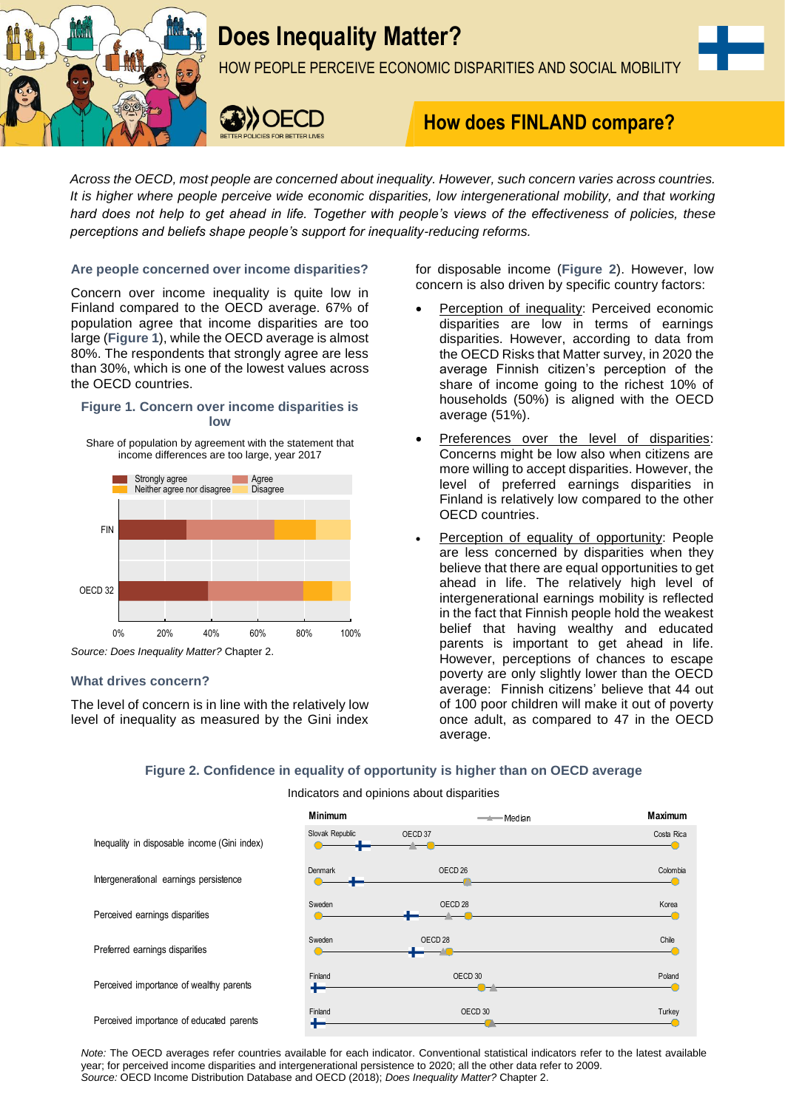

# **Does Inequality Matter?**

HOW PEOPLE PERCEIVE ECONOMIC DISPARITIES AND SOCIAL MOBILITY



# **How does FINLAND compare?**

*Across the OECD, most people are concerned about inequality. However, such concern varies across countries. It is higher where people perceive wide economic disparities, low intergenerational mobility, and that working hard does not help to get ahead in life. Together with people's views of the effectiveness of policies, these perceptions and beliefs shape people's support for inequality-reducing reforms.*

# **Are people concerned over income disparities?**

Concern over income inequality is quite low in Finland compared to the OECD average. 67% of population agree that income disparities are too large (**Figure 1**), while the OECD average is almost 80%. The respondents that strongly agree are less than 30%, which is one of the lowest values across the OECD countries.

# **Figure 1. Concern over income disparities is low**

Share of population by agreement with the statement that income differences are too large, year 2017



# **What drives concern?**

The level of concern is in line with the relatively low level of inequality as measured by the Gini index for disposable income (**Figure 2**). However, low concern is also driven by specific country factors:

- Perception of inequality: Perceived economic disparities are low in terms of earnings disparities. However, according to data from the OECD Risks that Matter survey, in 2020 the average Finnish citizen's perception of the share of income going to the richest 10% of households (50%) is aligned with the OECD average (51%).
- Preferences over the level of disparities: Concerns might be low also when citizens are more willing to accept disparities. However, the level of preferred earnings disparities in Finland is relatively low compared to the other OECD countries.
- Perception of equality of opportunity: People are less concerned by disparities when they believe that there are equal opportunities to get ahead in life. The relatively high level of intergenerational earnings mobility is reflected in the fact that Finnish people hold the weakest belief that having wealthy and educated parents is important to get ahead in life. However, perceptions of chances to escape poverty are only slightly lower than the OECD average: Finnish citizens' believe that 44 out of 100 poor children will make it out of poverty once adult, as compared to 47 in the OECD average.

# **Figure 2. Confidence in equality of opportunity is higher than on OECD average**

# Indicators and opinions about disparities



*Note:* The OECD averages refer countries available for each indicator. Conventional statistical indicators refer to the latest available year; for perceived income disparities and intergenerational persistence to 2020; all the other data refer to 2009. *Source:* OECD Income Distribution Database and OECD (2018); *Does Inequality Matter?* Chapter 2.